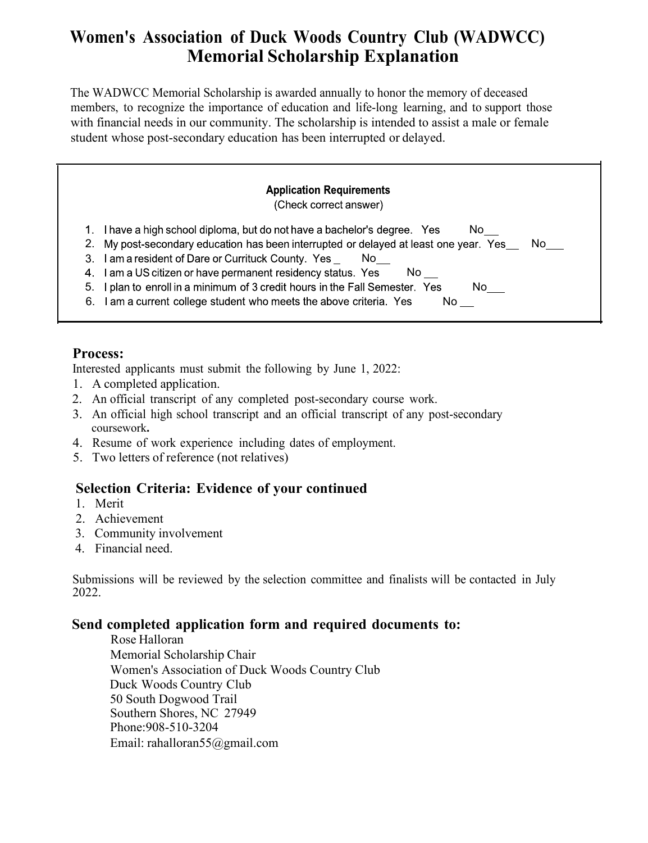# **Women's Association of Duck Woods Country Club (WADWCC) Memorial Scholarship Explanation**

The WADWCC Memorial Scholarship is awarded annually to honor the memory of deceased members, to recognize the importance of education and life-long learning, and to support those with financial needs in our community. The scholarship is intended to assist a male or female student whose post-secondary education has been interrupted or delayed.

#### **Application Requirements** (Check correct answer)

- 1. I have a high school diploma, but do not have a bachelor's degree. Yes No
- 2. My post-secondary education has been interrupted or delayed at least one year. Yes\_\_\_ No

 $No$   $\_\_$ 

- 3. I am a resident of Dare or Currituck County. Yes \_ No
- 4. I am a US citizen or have permanent residency status. Yes  $No$   $\qquad$
- 5. I plan to enroll in a minimum of 3 credit hours in the Fall Semester. Yes No
- 6. I am a current college student who meets the above criteria. Yes

### **Process:**

Interested applicants must submit the following by June 1, 2022:

- 1. A completed application.
- 2. An official transcript of any completed post-secondary course work.
- 3. An official high school transcript and an official transcript of any post-secondary coursework**.**
- 4. Resume of work experience including dates of employment.
- 5. Two letters of reference (not relatives)

## **Selection Criteria: Evidence of your continued**

- 1. Merit
- 2. Achievement
- 3. Community involvement
- 4. Financial need.

Submissions will be reviewed by the selection committee and finalists will be contacted in July 2022.

### **Send completed application form and required documents to:**

Rose Halloran Memorial Scholarship Chair Women's Association of Duck Woods Country Club Duck Woods Country Club 50 South Dogwood Trail Southern Shores, NC 27949 Phone:908-510-3204 Email: [rahalloran55@gmail.com](mailto:rahalloran55@gmail.com)